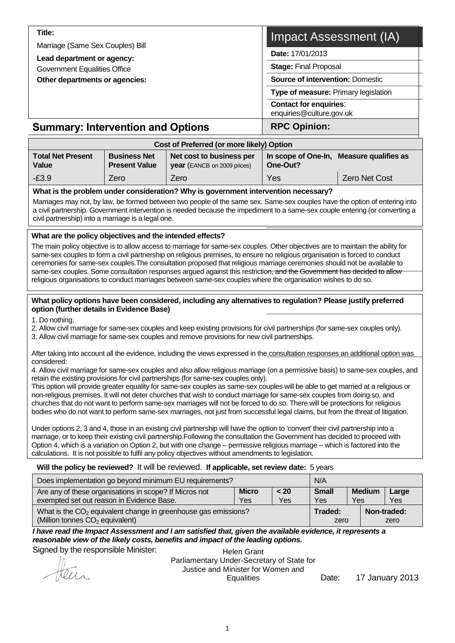| Title:                                                            | Impact Assessment (IA)                                    |  |  |  |
|-------------------------------------------------------------------|-----------------------------------------------------------|--|--|--|
| Marriage (Same Sex Couples) Bill                                  | Date: 17/01/2013                                          |  |  |  |
| Lead department or agency:<br><b>Government Equalities Office</b> | <b>Stage: Final Proposal</b>                              |  |  |  |
| Other departments or agencies:                                    | <b>Source of intervention: Domestic</b>                   |  |  |  |
|                                                                   | Type of measure: Primary legislation                      |  |  |  |
|                                                                   | <b>Contact for enquiries:</b><br>enquiries@culture.gov.uk |  |  |  |
| <b>Summary: Intervention and Options</b>                          | <b>RPC Opinion:</b>                                       |  |  |  |

| Cost of Preferred (or more likely) Option |                                             |                                                                |                                                      |                      |  |  |  |
|-------------------------------------------|---------------------------------------------|----------------------------------------------------------------|------------------------------------------------------|----------------------|--|--|--|
| <b>Total Net Present</b><br>Value         | <b>Business Net</b><br><b>Present Value</b> | Net cost to business per<br><b>year</b> (EANCB on 2009 prices) | In scope of One-In, Measure qualifies as<br>One-Out? |                      |  |  |  |
| $-E3.9$                                   | Zero                                        | Zero                                                           | Yes                                                  | <b>Zero Net Cost</b> |  |  |  |

#### **What is the problem under consideration? Why is government intervention necessary?**

Marriages may not, by law, be formed between two people of the same sex. Same-sex couples have the option of entering into a civil partnership. Government intervention is needed because the impediment to a same-sex couple entering (or converting a civil partnership) into a marriage is a legal one.

#### **What are the policy objectives and the intended effects?**

The main policy objective is to allow access to marriage for same-sex couples. Other objectives are to maintain the ability for same-sex couples to form a civil partnership on religious premises, to ensure no religious organisation is forced to conduct ceremonies for same-sex couples.The consultation proposed that religious marriage ceremonies should not be available to same-sex couples. Some consultation responses argued against this restriction, and the Government has decided to allow religious organisations to conduct marriages between same-sex couples where the organisation wishes to do so.

#### **What policy options have been considered, including any alternatives to regulation? Please justify preferred option (further details in Evidence Base)**

1. Do nothing.

2. Allow civil marriage for same-sex couples and keep existing provisions for civil partnerships (for same-sex couples only).

3. Allow civil marriage for same-sex couples and remove provisions for new civil partnerships.

After taking into account all the evidence, including the views expressed in the consultation responses an additional option was considered:

4. Allow civil marriage for same-sex couples and also allow religious marriage (on a permissive basis) to same-sex couples, and retain the existing provisions for civil partnerships (for same-sex couples only).

This option will provide greater equality for same-sex couples as same-sex couples will be able to get married at a religious or non-religious premises. It will not deter churches that wish to conduct marriage for same-sex couples from doing so, and churches that do not want to perform same-sex marriages will not be forced to do so. There will be protections for religious bodies who do not want to perform same-sex marriages, not just from successful legal claims, but from the threat of litigation.

Under options 2, 3 and 4, those in an existing civil partnership will have the option to 'convert' their civil partnership into a marriage, or to keep their existing civil partnership.Following the consultation the Government has decided to proceed with Option 4, which is a variation on Option 2, but with one change – permissive religious marriage – which is factored into the calculations. It is not possible to fulfil any policy objectives without amendments to legislation.

#### **Will the policy be reviewed?** It will be reviewed. **If applicable, set review date:** 5 years

| Does implementation go beyond minimum EU requirements?           | N/A          |               |             |
|------------------------------------------------------------------|--------------|---------------|-------------|
| Are any of these organisations in scope? If Micros not           | <b>Small</b> | <b>Medium</b> | Large       |
| exempted set out reason in Evidence Base.                        | Yes          | Yes           | Yes         |
| What is the $CO2$ equivalent change in greenhouse gas emissions? | Traded:      |               | Non-traded: |
| (Million tonnes $CO2$ equivalent)                                | zero         |               | zero        |

#### *I have read the Impact Assessment and I am satisfied that, given the available evidence, it represents a reasonable view of the likely costs, benefits and impact of the leading options.*

Signed by the responsible Minister:

Parliamentary Under-Secretary of State for

Helen Grant Justice and Minister for Women and Equalities Date: 17 January 2013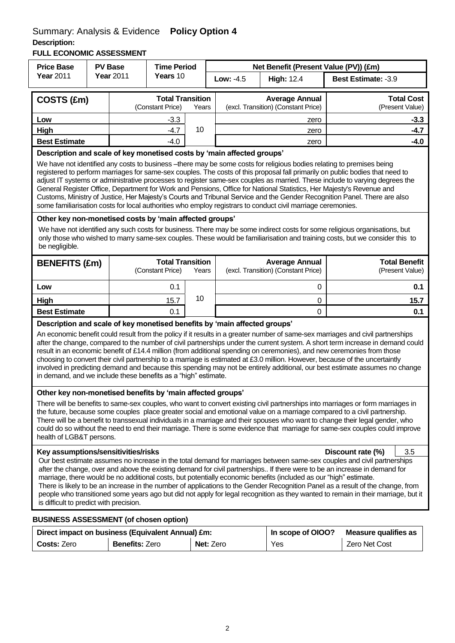# Summary: Analysis & Evidence **Policy Option 4**

# **Description:**

**FULL ECONOMIC ASSESSMENT**

| <b>Price Base</b>                                                                                                                                                                                                                                                                                                                                                                                                                                                                                                                                                                                                                                                                            |                                                                                                                                                                                                                                                                                                                                                                                                                                                                                                                                                                                                                                                                                                                                                                                                                                      | <b>PV Base</b>        | <b>Time Period</b>                          |       |           |                                                              | Net Benefit (Present Value (PV)) (£m)                                                                                                                                                                                                                     |  |  |
|----------------------------------------------------------------------------------------------------------------------------------------------------------------------------------------------------------------------------------------------------------------------------------------------------------------------------------------------------------------------------------------------------------------------------------------------------------------------------------------------------------------------------------------------------------------------------------------------------------------------------------------------------------------------------------------------|--------------------------------------------------------------------------------------------------------------------------------------------------------------------------------------------------------------------------------------------------------------------------------------------------------------------------------------------------------------------------------------------------------------------------------------------------------------------------------------------------------------------------------------------------------------------------------------------------------------------------------------------------------------------------------------------------------------------------------------------------------------------------------------------------------------------------------------|-----------------------|---------------------------------------------|-------|-----------|--------------------------------------------------------------|-----------------------------------------------------------------------------------------------------------------------------------------------------------------------------------------------------------------------------------------------------------|--|--|
| <b>Year 2011</b>                                                                                                                                                                                                                                                                                                                                                                                                                                                                                                                                                                                                                                                                             |                                                                                                                                                                                                                                                                                                                                                                                                                                                                                                                                                                                                                                                                                                                                                                                                                                      | <b>Year 2011</b>      | Years 10                                    |       | Low: -4.5 | <b>High: 12.4</b>                                            | Best Estimate: -3.9                                                                                                                                                                                                                                       |  |  |
| COSTS (£m)                                                                                                                                                                                                                                                                                                                                                                                                                                                                                                                                                                                                                                                                                   |                                                                                                                                                                                                                                                                                                                                                                                                                                                                                                                                                                                                                                                                                                                                                                                                                                      |                       | <b>Total Transition</b><br>(Constant Price) | Years |           | <b>Average Annual</b><br>(excl. Transition) (Constant Price) | <b>Total Cost</b><br>(Present Value)                                                                                                                                                                                                                      |  |  |
| Low                                                                                                                                                                                                                                                                                                                                                                                                                                                                                                                                                                                                                                                                                          |                                                                                                                                                                                                                                                                                                                                                                                                                                                                                                                                                                                                                                                                                                                                                                                                                                      |                       | $-3.3$                                      |       |           | zero                                                         | $-3.3$                                                                                                                                                                                                                                                    |  |  |
| High                                                                                                                                                                                                                                                                                                                                                                                                                                                                                                                                                                                                                                                                                         |                                                                                                                                                                                                                                                                                                                                                                                                                                                                                                                                                                                                                                                                                                                                                                                                                                      |                       | $-4.7$                                      | 10    |           | zero                                                         | $-4.7$                                                                                                                                                                                                                                                    |  |  |
| <b>Best Estimate</b>                                                                                                                                                                                                                                                                                                                                                                                                                                                                                                                                                                                                                                                                         |                                                                                                                                                                                                                                                                                                                                                                                                                                                                                                                                                                                                                                                                                                                                                                                                                                      |                       | $-4.0$                                      |       |           | zero                                                         | $-4.0$                                                                                                                                                                                                                                                    |  |  |
|                                                                                                                                                                                                                                                                                                                                                                                                                                                                                                                                                                                                                                                                                              | Description and scale of key monetised costs by 'main affected groups'<br>We have not identified any costs to business --there may be some costs for religious bodies relating to premises being<br>registered to perform marriages for same-sex couples. The costs of this proposal fall primarily on public bodies that need to<br>adjust IT systems or administrative processes to register same-sex couples as married. These include to varying degrees the<br>General Register Office, Department for Work and Pensions, Office for National Statistics, Her Majesty's Revenue and<br>Customs, Ministry of Justice, Her Majesty's Courts and Tribunal Service and the Gender Recognition Panel. There are also<br>some familiarisation costs for local authorities who employ registrars to conduct civil marriage ceremonies. |                       |                                             |       |           |                                                              |                                                                                                                                                                                                                                                           |  |  |
| Other key non-monetised costs by 'main affected groups'                                                                                                                                                                                                                                                                                                                                                                                                                                                                                                                                                                                                                                      |                                                                                                                                                                                                                                                                                                                                                                                                                                                                                                                                                                                                                                                                                                                                                                                                                                      |                       |                                             |       |           |                                                              |                                                                                                                                                                                                                                                           |  |  |
| be negligible.                                                                                                                                                                                                                                                                                                                                                                                                                                                                                                                                                                                                                                                                               |                                                                                                                                                                                                                                                                                                                                                                                                                                                                                                                                                                                                                                                                                                                                                                                                                                      |                       |                                             |       |           |                                                              | We have not identified any such costs for business. There may be some indirect costs for some religious organisations, but<br>only those who wished to marry same-sex couples. These would be familiarisation and training costs, but we consider this to |  |  |
| <b>BENEFITS (£m)</b>                                                                                                                                                                                                                                                                                                                                                                                                                                                                                                                                                                                                                                                                         |                                                                                                                                                                                                                                                                                                                                                                                                                                                                                                                                                                                                                                                                                                                                                                                                                                      |                       | <b>Total Transition</b><br>(Constant Price) | Years |           | <b>Average Annual</b><br>(excl. Transition) (Constant Price) | <b>Total Benefit</b><br>(Present Value)                                                                                                                                                                                                                   |  |  |
| Low                                                                                                                                                                                                                                                                                                                                                                                                                                                                                                                                                                                                                                                                                          |                                                                                                                                                                                                                                                                                                                                                                                                                                                                                                                                                                                                                                                                                                                                                                                                                                      |                       | 0.1                                         |       |           | 0                                                            | 0.1                                                                                                                                                                                                                                                       |  |  |
| High                                                                                                                                                                                                                                                                                                                                                                                                                                                                                                                                                                                                                                                                                         |                                                                                                                                                                                                                                                                                                                                                                                                                                                                                                                                                                                                                                                                                                                                                                                                                                      |                       | 15.7                                        | 10    |           | 0                                                            | 15.7                                                                                                                                                                                                                                                      |  |  |
| <b>Best Estimate</b>                                                                                                                                                                                                                                                                                                                                                                                                                                                                                                                                                                                                                                                                         |                                                                                                                                                                                                                                                                                                                                                                                                                                                                                                                                                                                                                                                                                                                                                                                                                                      |                       | 0.1                                         |       | 0         |                                                              | 0.1                                                                                                                                                                                                                                                       |  |  |
|                                                                                                                                                                                                                                                                                                                                                                                                                                                                                                                                                                                                                                                                                              | Description and scale of key monetised benefits by 'main affected groups'<br>An economic benefit could result from the policy if it results in a greater number of same-sex marriages and civil partnerships<br>after the change, compared to the number of civil partnerships under the current system. A short term increase in demand could<br>result in an economic benefit of £14.4 million (from additional spending on ceremonies), and new ceremonies from those<br>choosing to convert their civil partnership to a marriage is estimated at £3.0 million. However, because of the uncertaintly<br>involved in predicting demand and because this spending may not be entirely additional, our best estimate assumes no change<br>in demand, and we include these benefits as a "high" estimate.                            |                       |                                             |       |           |                                                              |                                                                                                                                                                                                                                                           |  |  |
| Other key non-monetised benefits by 'main affected groups'<br>There will be benefits to same-sex couples, who want to convert existing civil partnerships into marriages or form marriages in<br>the future, because some couples place greater social and emotional value on a marriage compared to a civil partnership.<br>There will be a benefit to transsexual individuals in a marriage and their spouses who want to change their legal gender, who<br>could do so without the need to end their marriage. There is some evidence that marriage for same-sex couples could improve<br>health of LGB&T persons.                                                                        |                                                                                                                                                                                                                                                                                                                                                                                                                                                                                                                                                                                                                                                                                                                                                                                                                                      |                       |                                             |       |           |                                                              |                                                                                                                                                                                                                                                           |  |  |
| Key assumptions/sensitivities/risks<br>Discount rate (%)<br>3.5                                                                                                                                                                                                                                                                                                                                                                                                                                                                                                                                                                                                                              |                                                                                                                                                                                                                                                                                                                                                                                                                                                                                                                                                                                                                                                                                                                                                                                                                                      |                       |                                             |       |           |                                                              |                                                                                                                                                                                                                                                           |  |  |
| Our best estimate assumes no increase in the total demand for marriages between same-sex couples and civil partnerships<br>after the change, over and above the existing demand for civil partnerships If there were to be an increase in demand for<br>marriage, there would be no additional costs, but potentially economic benefits (included as our "high" estimate.<br>There is likely to be an increase in the number of applications to the Gender Recognition Panel as a result of the change, from<br>people who transitioned some years ago but did not apply for legal recognition as they wanted to remain in their marriage, but it<br>is difficult to predict with precision. |                                                                                                                                                                                                                                                                                                                                                                                                                                                                                                                                                                                                                                                                                                                                                                                                                                      |                       |                                             |       |           |                                                              |                                                                                                                                                                                                                                                           |  |  |
| <b>BUSINESS ASSESSMENT (of chosen option)</b>                                                                                                                                                                                                                                                                                                                                                                                                                                                                                                                                                                                                                                                |                                                                                                                                                                                                                                                                                                                                                                                                                                                                                                                                                                                                                                                                                                                                                                                                                                      |                       |                                             |       |           |                                                              |                                                                                                                                                                                                                                                           |  |  |
| Direct impact on business (Equivalent Annual) £m:                                                                                                                                                                                                                                                                                                                                                                                                                                                                                                                                                                                                                                            |                                                                                                                                                                                                                                                                                                                                                                                                                                                                                                                                                                                                                                                                                                                                                                                                                                      |                       |                                             |       |           | In scope of OIOO?                                            | <b>Measure qualifies as</b>                                                                                                                                                                                                                               |  |  |
| Costs: Zero                                                                                                                                                                                                                                                                                                                                                                                                                                                                                                                                                                                                                                                                                  |                                                                                                                                                                                                                                                                                                                                                                                                                                                                                                                                                                                                                                                                                                                                                                                                                                      | <b>Benefits: Zero</b> |                                             |       | Net: Zero | Yes                                                          | Zero Net Cost                                                                                                                                                                                                                                             |  |  |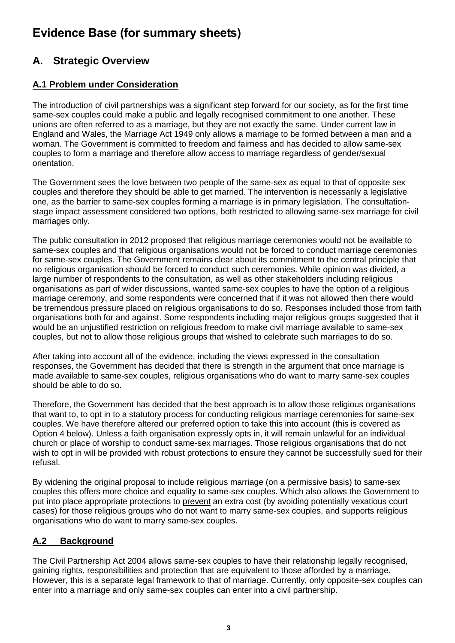# **Evidence Base (for summary sheets)**

# **A. Strategic Overview**

## **A.1 Problem under Consideration**

The introduction of civil partnerships was a significant step forward for our society, as for the first time same-sex couples could make a public and legally recognised commitment to one another. These unions are often referred to as a marriage, but they are not exactly the same. Under current law in England and Wales, the Marriage Act 1949 only allows a marriage to be formed between a man and a woman. The Government is committed to freedom and fairness and has decided to allow same-sex couples to form a marriage and therefore allow access to marriage regardless of gender/sexual orientation.

The Government sees the love between two people of the same-sex as equal to that of opposite sex couples and therefore they should be able to get married. The intervention is necessarily a legislative one, as the barrier to same-sex couples forming a marriage is in primary legislation. The consultationstage impact assessment considered two options, both restricted to allowing same-sex marriage for civil marriages only.

The public consultation in 2012 proposed that religious marriage ceremonies would not be available to same-sex couples and that religious organisations would not be forced to conduct marriage ceremonies for same-sex couples. The Government remains clear about its commitment to the central principle that no religious organisation should be forced to conduct such ceremonies. While opinion was divided, a large number of respondents to the consultation, as well as other stakeholders including religious organisations as part of wider discussions, wanted same-sex couples to have the option of a religious marriage ceremony, and some respondents were concerned that if it was not allowed then there would be tremendous pressure placed on religious organisations to do so. Responses included those from faith organisations both for and against. Some respondents including major religious groups suggested that it would be an unjustified restriction on religious freedom to make civil marriage available to same-sex couples, but not to allow those religious groups that wished to celebrate such marriages to do so.

After taking into account all of the evidence, including the views expressed in the consultation responses, the Government has decided that there is strength in the argument that once marriage is made available to same-sex couples, religious organisations who do want to marry same-sex couples should be able to do so.

Therefore, the Government has decided that the best approach is to allow those religious organisations that want to, to opt in to a statutory process for conducting religious marriage ceremonies for same-sex couples. We have therefore altered our preferred option to take this into account (this is covered as Option 4 below). Unless a faith organisation expressly opts in, it will remain unlawful for an individual church or place of worship to conduct same-sex marriages. Those religious organisations that do not wish to opt in will be provided with robust protections to ensure they cannot be successfully sued for their refusal.

By widening the original proposal to include religious marriage (on a permissive basis) to same-sex couples this offers more choice and equality to same-sex couples. Which also allows the Government to put into place appropriate protections to prevent an extra cost (by avoiding potentially vexatious court cases) for those religious groups who do not want to marry same-sex couples, and supports religious organisations who do want to marry same-sex couples.

### **A.2 Background**

The Civil Partnership Act 2004 allows same-sex couples to have their relationship legally recognised, gaining rights, responsibilities and protection that are equivalent to those afforded by a marriage. However, this is a separate legal framework to that of marriage. Currently, only opposite-sex couples can enter into a marriage and only same-sex couples can enter into a civil partnership.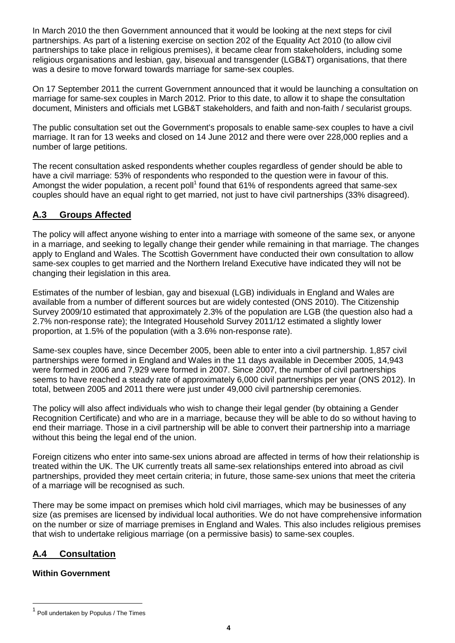In March 2010 the then Government announced that it would be looking at the next steps for civil partnerships. As part of a listening exercise on section 202 of the Equality Act 2010 (to allow civil partnerships to take place in religious premises), it became clear from stakeholders, including some religious organisations and lesbian, gay, bisexual and transgender (LGB&T) organisations, that there was a desire to move forward towards marriage for same-sex couples.

On 17 September 2011 the current Government announced that it would be launching a consultation on marriage for same-sex couples in March 2012. Prior to this date, to allow it to shape the consultation document, Ministers and officials met LGB&T stakeholders, and faith and non-faith / secularist groups.

The public consultation set out the Government's proposals to enable same-sex couples to have a civil marriage. It ran for 13 weeks and closed on 14 June 2012 and there were over 228,000 replies and a number of large petitions.

The recent consultation asked respondents whether couples regardless of gender should be able to have a civil marriage: 53% of respondents who responded to the question were in favour of this. Amongst the wider population, a recent poll<sup>1</sup> found that 61% of respondents agreed that same-sex couples should have an equal right to get married, not just to have civil partnerships (33% disagreed).

### **A.3 Groups Affected**

The policy will affect anyone wishing to enter into a marriage with someone of the same sex, or anyone in a marriage, and seeking to legally change their gender while remaining in that marriage. The changes apply to England and Wales. The Scottish Government have conducted their own consultation to allow same-sex couples to get married and the Northern Ireland Executive have indicated they will not be changing their legislation in this area.

Estimates of the number of lesbian, gay and bisexual (LGB) individuals in England and Wales are available from a number of different sources but are widely contested (ONS 2010). The Citizenship Survey 2009/10 estimated that approximately 2.3% of the population are LGB (the question also had a 2.7% non-response rate); the Integrated Household Survey 2011/12 estimated a slightly lower proportion, at 1.5% of the population (with a 3.6% non-response rate).

Same-sex couples have, since December 2005, been able to enter into a civil partnership. 1,857 civil partnerships were formed in England and Wales in the 11 days available in December 2005, 14,943 were formed in 2006 and 7,929 were formed in 2007. Since 2007, the number of civil partnerships seems to have reached a steady rate of approximately 6,000 civil partnerships per year (ONS 2012). In total, between 2005 and 2011 there were just under 49,000 civil partnership ceremonies.

The policy will also affect individuals who wish to change their legal gender (by obtaining a Gender Recognition Certificate) and who are in a marriage, because they will be able to do so without having to end their marriage. Those in a civil partnership will be able to convert their partnership into a marriage without this being the legal end of the union.

Foreign citizens who enter into same-sex unions abroad are affected in terms of how their relationship is treated within the UK. The UK currently treats all same-sex relationships entered into abroad as civil partnerships, provided they meet certain criteria; in future, those same-sex unions that meet the criteria of a marriage will be recognised as such.

There may be some impact on premises which hold civil marriages, which may be businesses of any size (as premises are licensed by individual local authorities. We do not have comprehensive information on the number or size of marriage premises in England and Wales. This also includes religious premises that wish to undertake religious marriage (on a permissive basis) to same-sex couples.

### **A.4 Consultation**

### **Within Government**

l

<sup>&</sup>lt;sup>1</sup> Poll undertaken by Populus / The Times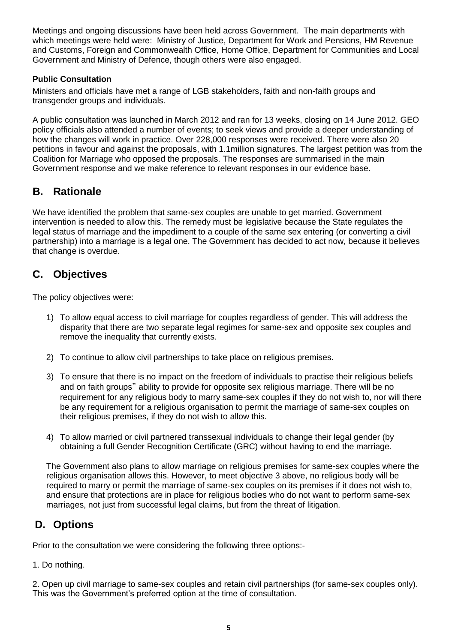Meetings and ongoing discussions have been held across Government. The main departments with which meetings were held were: Ministry of Justice, Department for Work and Pensions, HM Revenue and Customs, Foreign and Commonwealth Office, Home Office, Department for Communities and Local Government and Ministry of Defence, though others were also engaged.

### **Public Consultation**

Ministers and officials have met a range of LGB stakeholders, faith and non-faith groups and transgender groups and individuals.

A public consultation was launched in March 2012 and ran for 13 weeks, closing on 14 June 2012. GEO policy officials also attended a number of events; to seek views and provide a deeper understanding of how the changes will work in practice. Over 228,000 responses were received. There were also 20 petitions in favour and against the proposals, with 1.1million signatures. The largest petition was from the Coalition for Marriage who opposed the proposals. The responses are summarised in the main Government response and we make reference to relevant responses in our evidence base.

# **B. Rationale**

We have identified the problem that same-sex couples are unable to get married. Government intervention is needed to allow this. The remedy must be legislative because the State regulates the legal status of marriage and the impediment to a couple of the same sex entering (or converting a civil partnership) into a marriage is a legal one. The Government has decided to act now, because it believes that change is overdue.

# **C. Objectives**

The policy objectives were:

- 1) To allow equal access to civil marriage for couples regardless of gender. This will address the disparity that there are two separate legal regimes for same-sex and opposite sex couples and remove the inequality that currently exists.
- 2) To continue to allow civil partnerships to take place on religious premises.
- 3) To ensure that there is no impact on the freedom of individuals to practise their religious beliefs and on faith groups" ability to provide for opposite sex religious marriage. There will be no requirement for any religious body to marry same-sex couples if they do not wish to, nor will there be any requirement for a religious organisation to permit the marriage of same-sex couples on their religious premises, if they do not wish to allow this.
- 4) To allow married or civil partnered transsexual individuals to change their legal gender (by obtaining a full Gender Recognition Certificate (GRC) without having to end the marriage.

The Government also plans to allow marriage on religious premises for same-sex couples where the religious organisation allows this. However, to meet objective 3 above, no religious body will be required to marry or permit the marriage of same-sex couples on its premises if it does not wish to, and ensure that protections are in place for religious bodies who do not want to perform same-sex marriages, not just from successful legal claims, but from the threat of litigation.

# **D. Options**

Prior to the consultation we were considering the following three options:-

1. Do nothing.

2. Open up civil marriage to same-sex couples and retain civil partnerships (for same-sex couples only). This was the Government's preferred option at the time of consultation.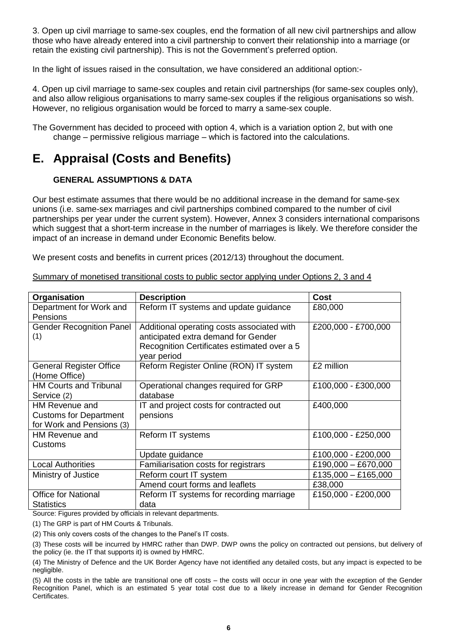3. Open up civil marriage to same-sex couples, end the formation of all new civil partnerships and allow those who have already entered into a civil partnership to convert their relationship into a marriage (or retain the existing civil partnership). This is not the Government"s preferred option.

In the light of issues raised in the consultation, we have considered an additional option:-

4. Open up civil marriage to same-sex couples and retain civil partnerships (for same-sex couples only), and also allow religious organisations to marry same-sex couples if the religious organisations so wish. However, no religious organisation would be forced to marry a same-sex couple.

The Government has decided to proceed with option 4, which is a variation option 2, but with one change – permissive religious marriage – which is factored into the calculations.

# **E. Appraisal (Costs and Benefits)**

### **GENERAL ASSUMPTIONS & DATA**

Our best estimate assumes that there would be no additional increase in the demand for same-sex unions (i.e. same-sex marriages and civil partnerships combined compared to the number of civil partnerships per year under the current system). However, Annex 3 considers international comparisons which suggest that a short-term increase in the number of marriages is likely. We therefore consider the impact of an increase in demand under Economic Benefits below.

We present costs and benefits in current prices (2012/13) throughout the document.

| Organisation                                                                 | <b>Description</b>                                                                                                                              | <b>Cost</b>         |
|------------------------------------------------------------------------------|-------------------------------------------------------------------------------------------------------------------------------------------------|---------------------|
| Department for Work and<br><b>Pensions</b>                                   | Reform IT systems and update guidance                                                                                                           | £80,000             |
| <b>Gender Recognition Panel</b><br>(1)                                       | Additional operating costs associated with<br>anticipated extra demand for Gender<br>Recognition Certificates estimated over a 5<br>year period | £200,000 - £700,000 |
| <b>General Register Office</b><br>(Home Office)                              | Reform Register Online (RON) IT system                                                                                                          | £2 million          |
| <b>HM Courts and Tribunal</b><br>Service (2)                                 | Operational changes required for GRP<br>database                                                                                                | £100,000 - £300,000 |
| HM Revenue and<br><b>Customs for Department</b><br>for Work and Pensions (3) | IT and project costs for contracted out<br>pensions                                                                                             | £400,000            |
| HM Revenue and<br>Customs                                                    | Reform IT systems                                                                                                                               | £100,000 - £250,000 |
|                                                                              | Update guidance                                                                                                                                 | £100,000 - £200,000 |
| <b>Local Authorities</b>                                                     | Familiarisation costs for registrars                                                                                                            | £190,000 - £670,000 |
| Ministry of Justice                                                          | Reform court IT system                                                                                                                          | £135,000 - £165,000 |
|                                                                              | Amend court forms and leaflets                                                                                                                  | £38,000             |
| <b>Office for National</b><br><b>Statistics</b>                              | Reform IT systems for recording marriage<br>data                                                                                                | £150,000 - £200,000 |

### Summary of monetised transitional costs to public sector applying under Options 2, 3 and 4

Source: Figures provided by officials in relevant departments.

(1) The GRP is part of HM Courts & Tribunals.

(2) This only covers costs of the changes to the Panel"s IT costs.

(3) These costs will be incurred by HMRC rather than DWP. DWP owns the policy on contracted out pensions, but delivery of the policy (ie. the IT that supports it) is owned by HMRC.

(4) The Ministry of Defence and the UK Border Agency have not identified any detailed costs, but any impact is expected to be negligible.

(5) All the costs in the table are transitional one off costs – the costs will occur in one year with the exception of the Gender Recognition Panel, which is an estimated 5 year total cost due to a likely increase in demand for Gender Recognition Certificates.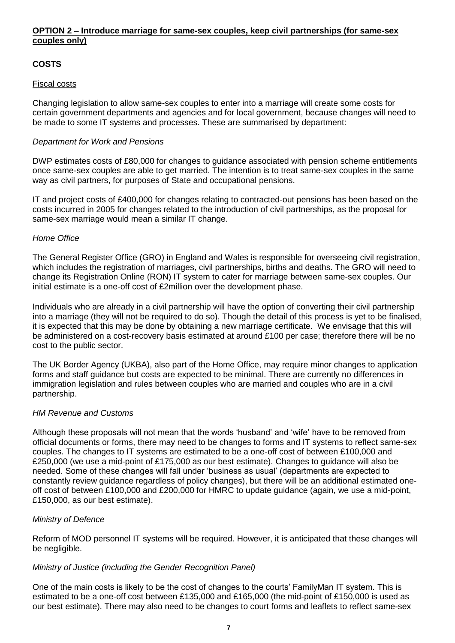### **OPTION 2 – Introduce marriage for same-sex couples, keep civil partnerships (for same-sex couples only)**

### **COSTS**

#### Fiscal costs

Changing legislation to allow same-sex couples to enter into a marriage will create some costs for certain government departments and agencies and for local government, because changes will need to be made to some IT systems and processes. These are summarised by department:

#### *Department for Work and Pensions*

DWP estimates costs of £80,000 for changes to guidance associated with pension scheme entitlements once same-sex couples are able to get married. The intention is to treat same-sex couples in the same way as civil partners, for purposes of State and occupational pensions.

IT and project costs of £400,000 for changes relating to contracted-out pensions has been based on the costs incurred in 2005 for changes related to the introduction of civil partnerships, as the proposal for same-sex marriage would mean a similar IT change.

#### *Home Office*

The General Register Office (GRO) in England and Wales is responsible for overseeing civil registration, which includes the registration of marriages, civil partnerships, births and deaths. The GRO will need to change its Registration Online (RON) IT system to cater for marriage between same-sex couples. Our initial estimate is a one-off cost of £2million over the development phase.

Individuals who are already in a civil partnership will have the option of converting their civil partnership into a marriage (they will not be required to do so). Though the detail of this process is yet to be finalised, it is expected that this may be done by obtaining a new marriage certificate. We envisage that this will be administered on a cost-recovery basis estimated at around £100 per case; therefore there will be no cost to the public sector.

The UK Border Agency (UKBA), also part of the Home Office, may require minor changes to application forms and staff guidance but costs are expected to be minimal. There are currently no differences in immigration legislation and rules between couples who are married and couples who are in a civil partnership.

#### *HM Revenue and Customs*

Although these proposals will not mean that the words "husband" and "wife" have to be removed from official documents or forms, there may need to be changes to forms and IT systems to reflect same-sex couples. The changes to IT systems are estimated to be a one-off cost of between £100,000 and £250,000 (we use a mid-point of £175,000 as our best estimate). Changes to guidance will also be needed. Some of these changes will fall under "business as usual" (departments are expected to constantly review guidance regardless of policy changes), but there will be an additional estimated oneoff cost of between £100,000 and £200,000 for HMRC to update guidance (again, we use a mid-point, £150,000, as our best estimate).

### *Ministry of Defence*

Reform of MOD personnel IT systems will be required. However, it is anticipated that these changes will be negligible.

#### *Ministry of Justice (including the Gender Recognition Panel)*

One of the main costs is likely to be the cost of changes to the courts" FamilyMan IT system. This is estimated to be a one-off cost between £135,000 and £165,000 (the mid-point of £150,000 is used as our best estimate). There may also need to be changes to court forms and leaflets to reflect same-sex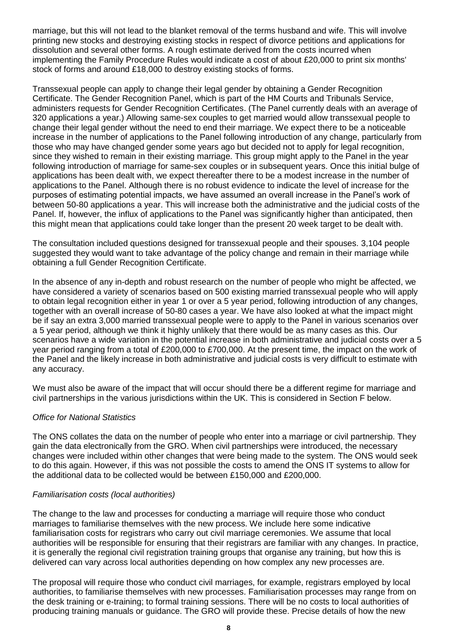marriage, but this will not lead to the blanket removal of the terms husband and wife. This will involve printing new stocks and destroying existing stocks in respect of divorce petitions and applications for dissolution and several other forms. A rough estimate derived from the costs incurred when implementing the Family Procedure Rules would indicate a cost of about £20,000 to print six months' stock of forms and around £18,000 to destroy existing stocks of forms.

Transsexual people can apply to change their legal gender by obtaining a Gender Recognition Certificate. The Gender Recognition Panel, which is part of the HM Courts and Tribunals Service, administers requests for Gender Recognition Certificates. (The Panel currently deals with an average of 320 applications a year.) Allowing same-sex couples to get married would allow transsexual people to change their legal gender without the need to end their marriage. We expect there to be a noticeable increase in the number of applications to the Panel following introduction of any change, particularly from those who may have changed gender some years ago but decided not to apply for legal recognition, since they wished to remain in their existing marriage. This group might apply to the Panel in the year following introduction of marriage for same-sex couples or in subsequent years. Once this initial bulge of applications has been dealt with, we expect thereafter there to be a modest increase in the number of applications to the Panel. Although there is no robust evidence to indicate the level of increase for the purposes of estimating potential impacts, we have assumed an overall increase in the Panel"s work of between 50-80 applications a year. This will increase both the administrative and the judicial costs of the Panel. If, however, the influx of applications to the Panel was significantly higher than anticipated, then this might mean that applications could take longer than the present 20 week target to be dealt with.

The consultation included questions designed for transsexual people and their spouses. 3,104 people suggested they would want to take advantage of the policy change and remain in their marriage while obtaining a full Gender Recognition Certificate.

In the absence of any in-depth and robust research on the number of people who might be affected, we have considered a variety of scenarios based on 500 existing married transsexual people who will apply to obtain legal recognition either in year 1 or over a 5 year period, following introduction of any changes, together with an overall increase of 50-80 cases a year. We have also looked at what the impact might be if say an extra 3,000 married transsexual people were to apply to the Panel in various scenarios over a 5 year period, although we think it highly unlikely that there would be as many cases as this. Our scenarios have a wide variation in the potential increase in both administrative and judicial costs over a 5 year period ranging from a total of £200,000 to £700,000. At the present time, the impact on the work of the Panel and the likely increase in both administrative and judicial costs is very difficult to estimate with any accuracy.

We must also be aware of the impact that will occur should there be a different regime for marriage and civil partnerships in the various jurisdictions within the UK. This is considered in Section F below.

### *Office for National Statistics*

The ONS collates the data on the number of people who enter into a marriage or civil partnership. They gain the data electronically from the GRO. When civil partnerships were introduced, the necessary changes were included within other changes that were being made to the system. The ONS would seek to do this again. However, if this was not possible the costs to amend the ONS IT systems to allow for the additional data to be collected would be between £150,000 and £200,000.

### *Familiarisation costs (local authorities)*

The change to the law and processes for conducting a marriage will require those who conduct marriages to familiarise themselves with the new process. We include here some indicative familiarisation costs for registrars who carry out civil marriage ceremonies. We assume that local authorities will be responsible for ensuring that their registrars are familiar with any changes. In practice, it is generally the regional civil registration training groups that organise any training, but how this is delivered can vary across local authorities depending on how complex any new processes are.

The proposal will require those who conduct civil marriages, for example, registrars employed by local authorities, to familiarise themselves with new processes. Familiarisation processes may range from on the desk training or e-training; to formal training sessions. There will be no costs to local authorities of producing training manuals or guidance. The GRO will provide these. Precise details of how the new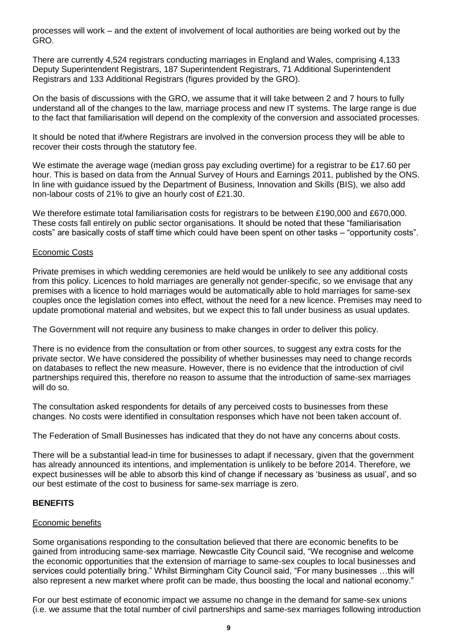processes will work – and the extent of involvement of local authorities are being worked out by the GRO.

There are currently 4,524 registrars conducting marriages in England and Wales, comprising 4,133 Deputy Superintendent Registrars, 187 Superintendent Registrars, 71 Additional Superintendent Registrars and 133 Additional Registrars (figures provided by the GRO).

On the basis of discussions with the GRO, we assume that it will take between 2 and 7 hours to fully understand all of the changes to the law, marriage process and new IT systems. The large range is due to the fact that familiarisation will depend on the complexity of the conversion and associated processes.

It should be noted that if/where Registrars are involved in the conversion process they will be able to recover their costs through the statutory fee.

We estimate the average wage (median gross pay excluding overtime) for a registrar to be £17.60 per hour. This is based on data from the Annual Survey of Hours and Earnings 2011, published by the ONS. In line with guidance issued by the Department of Business, Innovation and Skills (BIS), we also add non-labour costs of 21% to give an hourly cost of £21.30.

We therefore estimate total familiarisation costs for registrars to be between £190,000 and £670,000. These costs fall entirely on public sector organisations. It should be noted that these "familiarisation costs" are basically costs of staff time which could have been spent on other tasks – "opportunity costs".

#### Economic Costs

Private premises in which wedding ceremonies are held would be unlikely to see any additional costs from this policy. Licences to hold marriages are generally not gender-specific, so we envisage that any premises with a licence to hold marriages would be automatically able to hold marriages for same-sex couples once the legislation comes into effect, without the need for a new licence. Premises may need to update promotional material and websites, but we expect this to fall under business as usual updates.

The Government will not require any business to make changes in order to deliver this policy.

There is no evidence from the consultation or from other sources, to suggest any extra costs for the private sector. We have considered the possibility of whether businesses may need to change records on databases to reflect the new measure. However, there is no evidence that the introduction of civil partnerships required this, therefore no reason to assume that the introduction of same-sex marriages will do so.

The consultation asked respondents for details of any perceived costs to businesses from these changes. No costs were identified in consultation responses which have not been taken account of.

The Federation of Small Businesses has indicated that they do not have any concerns about costs.

There will be a substantial lead-in time for businesses to adapt if necessary, given that the government has already announced its intentions, and implementation is unlikely to be before 2014. Therefore, we expect businesses will be able to absorb this kind of change if necessary as "business as usual", and so our best estimate of the cost to business for same-sex marriage is zero.

### **BENEFITS**

### Economic benefits

Some organisations responding to the consultation believed that there are economic benefits to be gained from introducing same-sex marriage. Newcastle City Council said, "We recognise and welcome the economic opportunities that the extension of marriage to same-sex couples to local businesses and services could potentially bring." Whilst Birmingham City Council said, "For many businesses …this will also represent a new market where profit can be made, thus boosting the local and national economy."

For our best estimate of economic impact we assume no change in the demand for same-sex unions (i.e. we assume that the total number of civil partnerships and same-sex marriages following introduction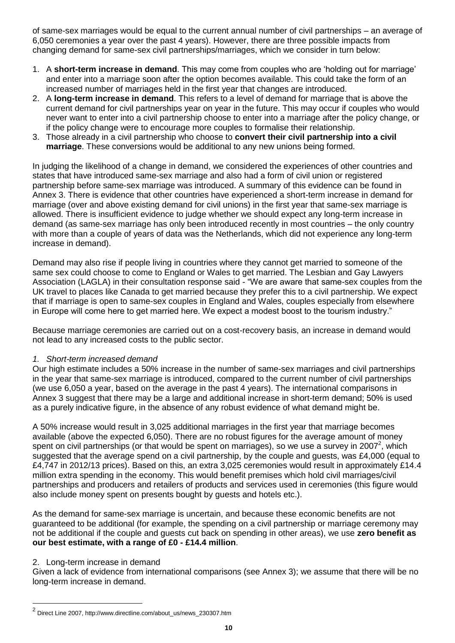of same-sex marriages would be equal to the current annual number of civil partnerships – an average of 6,050 ceremonies a year over the past 4 years). However, there are three possible impacts from changing demand for same-sex civil partnerships/marriages, which we consider in turn below:

- 1. A **short-term increase in demand**. This may come from couples who are "holding out for marriage" and enter into a marriage soon after the option becomes available. This could take the form of an increased number of marriages held in the first year that changes are introduced.
- 2. A **long-term increase in demand**. This refers to a level of demand for marriage that is above the current demand for civil partnerships year on year in the future. This may occur if couples who would never want to enter into a civil partnership choose to enter into a marriage after the policy change, or if the policy change were to encourage more couples to formalise their relationship.
- 3. Those already in a civil partnership who choose to **convert their civil partnership into a civil marriage**. These conversions would be additional to any new unions being formed.

In judging the likelihood of a change in demand, we considered the experiences of other countries and states that have introduced same-sex marriage and also had a form of civil union or registered partnership before same-sex marriage was introduced. A summary of this evidence can be found in Annex 3. There is evidence that other countries have experienced a short-term increase in demand for marriage (over and above existing demand for civil unions) in the first year that same-sex marriage is allowed. There is insufficient evidence to judge whether we should expect any long-term increase in demand (as same-sex marriage has only been introduced recently in most countries – the only country with more than a couple of years of data was the Netherlands, which did not experience any long-term increase in demand).

Demand may also rise if people living in countries where they cannot get married to someone of the same sex could choose to come to England or Wales to get married. The Lesbian and Gay Lawyers Association (LAGLA) in their consultation response said - "We are aware that same-sex couples from the UK travel to places like Canada to get married because they prefer this to a civil partnership. We expect that if marriage is open to same-sex couples in England and Wales, couples especially from elsewhere in Europe will come here to get married here. We expect a modest boost to the tourism industry."

Because marriage ceremonies are carried out on a cost-recovery basis, an increase in demand would not lead to any increased costs to the public sector.

### *1. Short-term increased demand*

Our high estimate includes a 50% increase in the number of same-sex marriages and civil partnerships in the year that same-sex marriage is introduced, compared to the current number of civil partnerships (we use 6,050 a year, based on the average in the past 4 years). The international comparisons in Annex 3 suggest that there may be a large and additional increase in short-term demand; 50% is used as a purely indicative figure, in the absence of any robust evidence of what demand might be.

A 50% increase would result in 3,025 additional marriages in the first year that marriage becomes available (above the expected 6,050). There are no robust figures for the average amount of money spent on civil partnerships (or that would be spent on marriages), so we use a survey in 2007<sup>2</sup>, which suggested that the average spend on a civil partnership, by the couple and guests, was £4,000 (equal to £4,747 in 2012/13 prices). Based on this, an extra 3,025 ceremonies would result in approximately £14.4 million extra spending in the economy. This would benefit premises which hold civil marriages/civil partnerships and producers and retailers of products and services used in ceremonies (this figure would also include money spent on presents bought by guests and hotels etc.).

As the demand for same-sex marriage is uncertain, and because these economic benefits are not guaranteed to be additional (for example, the spending on a civil partnership or marriage ceremony may not be additional if the couple and guests cut back on spending in other areas), we use **zero benefit as our best estimate, with a range of £0 - £14.4 million**.

### 2. Long-term increase in demand

l

Given a lack of evidence from international comparisons (see Annex 3); we assume that there will be no long-term increase in demand.

<sup>&</sup>lt;sup>2</sup> Direct Line 2007, http://www.directline.com/about\_us/news\_230307.htm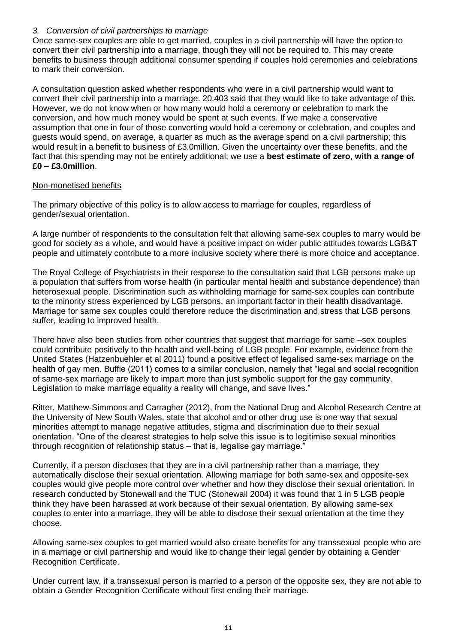### *3. Conversion of civil partnerships to marriage*

Once same-sex couples are able to get married, couples in a civil partnership will have the option to convert their civil partnership into a marriage, though they will not be required to. This may create benefits to business through additional consumer spending if couples hold ceremonies and celebrations to mark their conversion.

A consultation question asked whether respondents who were in a civil partnership would want to convert their civil partnership into a marriage. 20,403 said that they would like to take advantage of this. However, we do not know when or how many would hold a ceremony or celebration to mark the conversion, and how much money would be spent at such events. If we make a conservative assumption that one in four of those converting would hold a ceremony or celebration, and couples and guests would spend, on average, a quarter as much as the average spend on a civil partnership; this would result in a benefit to business of £3.0million. Given the uncertainty over these benefits, and the fact that this spending may not be entirely additional; we use a **best estimate of zero, with a range of £0 – £3.0million**.

### Non-monetised benefits

The primary objective of this policy is to allow access to marriage for couples, regardless of gender/sexual orientation.

A large number of respondents to the consultation felt that allowing same-sex couples to marry would be good for society as a whole, and would have a positive impact on wider public attitudes towards LGB&T people and ultimately contribute to a more inclusive society where there is more choice and acceptance.

The Royal College of Psychiatrists in their response to the consultation said that LGB persons make up a population that suffers from worse health (in particular mental health and substance dependence) than heterosexual people. Discrimination such as withholding marriage for same-sex couples can contribute to the minority stress experienced by LGB persons, an important factor in their health disadvantage. Marriage for same sex couples could therefore reduce the discrimination and stress that LGB persons suffer, leading to improved health.

There have also been studies from other countries that suggest that marriage for same –sex couples could contribute positively to the health and well-being of LGB people. For example, evidence from the United States (Hatzenbuehler et al 2011) found a positive effect of legalised same-sex marriage on the health of gay men. Buffie (2011) comes to a similar conclusion, namely that "legal and social recognition of same-sex marriage are likely to impart more than just symbolic support for the gay community. Legislation to make marriage equality a reality will change, and save lives."

Ritter, Matthew-Simmons and Carragher (2012), from the National Drug and Alcohol Research Centre at the University of New South Wales, state that alcohol and or other drug use is one way that sexual minorities attempt to manage negative attitudes, stigma and discrimination due to their sexual orientation. "One of the clearest strategies to help solve this issue is to legitimise sexual minorities through recognition of relationship status – that is, legalise gay marriage."

Currently, if a person discloses that they are in a civil partnership rather than a marriage, they automatically disclose their sexual orientation. Allowing marriage for both same-sex and opposite-sex couples would give people more control over whether and how they disclose their sexual orientation. In research conducted by Stonewall and the TUC (Stonewall 2004) it was found that 1 in 5 LGB people think they have been harassed at work because of their sexual orientation. By allowing same-sex couples to enter into a marriage, they will be able to disclose their sexual orientation at the time they choose.

Allowing same-sex couples to get married would also create benefits for any transsexual people who are in a marriage or civil partnership and would like to change their legal gender by obtaining a Gender Recognition Certificate.

Under current law, if a transsexual person is married to a person of the opposite sex, they are not able to obtain a Gender Recognition Certificate without first ending their marriage.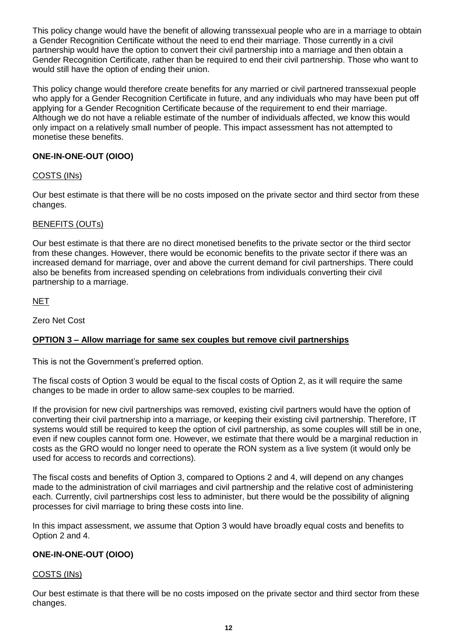This policy change would have the benefit of allowing transsexual people who are in a marriage to obtain a Gender Recognition Certificate without the need to end their marriage. Those currently in a civil partnership would have the option to convert their civil partnership into a marriage and then obtain a Gender Recognition Certificate, rather than be required to end their civil partnership. Those who want to would still have the option of ending their union.

This policy change would therefore create benefits for any married or civil partnered transsexual people who apply for a Gender Recognition Certificate in future, and any individuals who may have been put off applying for a Gender Recognition Certificate because of the requirement to end their marriage. Although we do not have a reliable estimate of the number of individuals affected, we know this would only impact on a relatively small number of people. This impact assessment has not attempted to monetise these benefits.

### **ONE-IN-ONE-OUT (OIOO)**

### COSTS (INs)

Our best estimate is that there will be no costs imposed on the private sector and third sector from these changes.

### BENEFITS (OUTs)

Our best estimate is that there are no direct monetised benefits to the private sector or the third sector from these changes. However, there would be economic benefits to the private sector if there was an increased demand for marriage, over and above the current demand for civil partnerships. There could also be benefits from increased spending on celebrations from individuals converting their civil partnership to a marriage.

### **NET**

Zero Net Cost

### **OPTION 3 – Allow marriage for same sex couples but remove civil partnerships**

This is not the Government's preferred option.

The fiscal costs of Option 3 would be equal to the fiscal costs of Option 2, as it will require the same changes to be made in order to allow same-sex couples to be married.

If the provision for new civil partnerships was removed, existing civil partners would have the option of converting their civil partnership into a marriage, or keeping their existing civil partnership. Therefore, IT systems would still be required to keep the option of civil partnership, as some couples will still be in one, even if new couples cannot form one. However, we estimate that there would be a marginal reduction in costs as the GRO would no longer need to operate the RON system as a live system (it would only be used for access to records and corrections).

The fiscal costs and benefits of Option 3, compared to Options 2 and 4, will depend on any changes made to the administration of civil marriages and civil partnership and the relative cost of administering each. Currently, civil partnerships cost less to administer, but there would be the possibility of aligning processes for civil marriage to bring these costs into line.

In this impact assessment, we assume that Option 3 would have broadly equal costs and benefits to Option 2 and 4.

### **ONE-IN-ONE-OUT (OIOO)**

### COSTS (INs)

Our best estimate is that there will be no costs imposed on the private sector and third sector from these changes.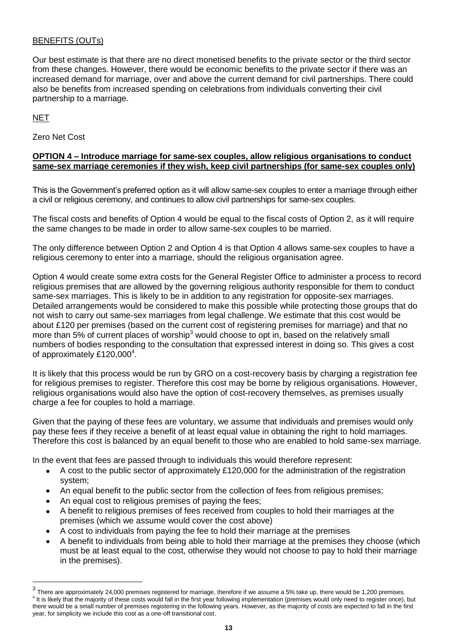### BENEFITS (OUTs)

Our best estimate is that there are no direct monetised benefits to the private sector or the third sector from these changes. However, there would be economic benefits to the private sector if there was an increased demand for marriage, over and above the current demand for civil partnerships. There could also be benefits from increased spending on celebrations from individuals converting their civil partnership to a marriage.

### **NET**

 $\overline{a}$ 

Zero Net Cost

### **OPTION 4 – Introduce marriage for same-sex couples, allow religious organisations to conduct same-sex marriage ceremonies if they wish, keep civil partnerships (for same-sex couples only)**

This is the Government"s preferred option as it will allow same-sex couples to enter a marriage through either a civil or religious ceremony, and continues to allow civil partnerships for same-sex couples.

The fiscal costs and benefits of Option 4 would be equal to the fiscal costs of Option 2, as it will require the same changes to be made in order to allow same-sex couples to be married.

The only difference between Option 2 and Option 4 is that Option 4 allows same-sex couples to have a religious ceremony to enter into a marriage, should the religious organisation agree.

Option 4 would create some extra costs for the General Register Office to administer a process to record religious premises that are allowed by the governing religious authority responsible for them to conduct same-sex marriages. This is likely to be in addition to any registration for opposite-sex marriages. Detailed arrangements would be considered to make this possible while protecting those groups that do not wish to carry out same-sex marriages from legal challenge. We estimate that this cost would be about £120 per premises (based on the current cost of registering premises for marriage) and that no more than 5% of current places of worship<sup>3</sup> would choose to opt in, based on the relatively small numbers of bodies responding to the consultation that expressed interest in doing so. This gives a cost of approximately £120,000<sup>4</sup>.

It is likely that this process would be run by GRO on a cost-recovery basis by charging a registration fee for religious premises to register. Therefore this cost may be borne by religious organisations. However, religious organisations would also have the option of cost-recovery themselves, as premises usually charge a fee for couples to hold a marriage.

Given that the paying of these fees are voluntary, we assume that individuals and premises would only pay these fees if they receive a benefit of at least equal value in obtaining the right to hold marriages. Therefore this cost is balanced by an equal benefit to those who are enabled to hold same-sex marriage.

In the event that fees are passed through to individuals this would therefore represent:

- A cost to the public sector of approximately £120,000 for the administration of the registration system;
- An equal benefit to the public sector from the collection of fees from religious premises;
- An equal cost to religious premises of paying the fees;
- A benefit to religious premises of fees received from couples to hold their marriages at the premises (which we assume would cover the cost above)
- A cost to individuals from paying the fee to hold their marriage at the premises
- A benefit to individuals from being able to hold their marriage at the premises they choose (which must be at least equal to the cost, otherwise they would not choose to pay to hold their marriage in the premises).

 $^3$  There are approximately 24,000 premises registered for marriage, therefore if we assume a 5% take up, there would be 1,200 premises. <sup>4</sup> It is likely that the majority of these costs would fall in the first year following implementation (premises would only need to register once), but there would be a small number of premises registering in the following years. However, as the majority of costs are expected to fall in the first year, for simplicity we include this cost as a one-off transitional cost.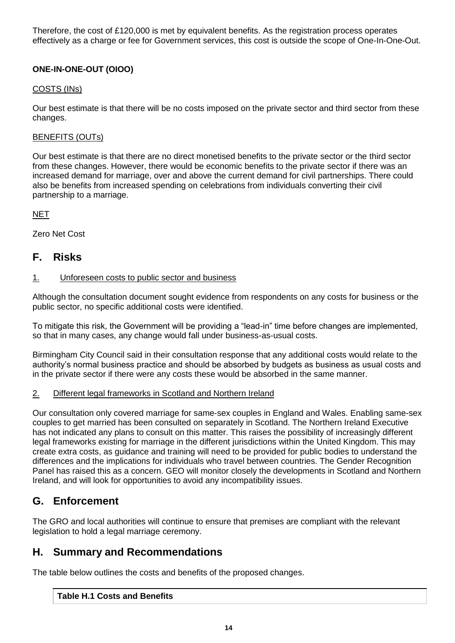Therefore, the cost of £120,000 is met by equivalent benefits. As the registration process operates effectively as a charge or fee for Government services, this cost is outside the scope of One-In-One-Out.

### **ONE-IN-ONE-OUT (OIOO)**

### COSTS (INs)

Our best estimate is that there will be no costs imposed on the private sector and third sector from these changes.

### BENEFITS (OUTs)

Our best estimate is that there are no direct monetised benefits to the private sector or the third sector from these changes. However, there would be economic benefits to the private sector if there was an increased demand for marriage, over and above the current demand for civil partnerships. There could also be benefits from increased spending on celebrations from individuals converting their civil partnership to a marriage.

### NET

Zero Net Cost

### **F. Risks**

### 1. Unforeseen costs to public sector and business

Although the consultation document sought evidence from respondents on any costs for business or the public sector, no specific additional costs were identified.

To mitigate this risk, the Government will be providing a "lead-in" time before changes are implemented, so that in many cases, any change would fall under business-as-usual costs.

Birmingham City Council said in their consultation response that any additional costs would relate to the authority"s normal business practice and should be absorbed by budgets as business as usual costs and in the private sector if there were any costs these would be absorbed in the same manner.

### 2. Different legal frameworks in Scotland and Northern Ireland

Our consultation only covered marriage for same-sex couples in England and Wales. Enabling same-sex couples to get married has been consulted on separately in Scotland. The Northern Ireland Executive has not indicated any plans to consult on this matter. This raises the possibility of increasingly different legal frameworks existing for marriage in the different jurisdictions within the United Kingdom. This may create extra costs, as guidance and training will need to be provided for public bodies to understand the differences and the implications for individuals who travel between countries. The Gender Recognition Panel has raised this as a concern. GEO will monitor closely the developments in Scotland and Northern Ireland, and will look for opportunities to avoid any incompatibility issues.

# **G. Enforcement**

The GRO and local authorities will continue to ensure that premises are compliant with the relevant legislation to hold a legal marriage ceremony.

# **H. Summary and Recommendations**

The table below outlines the costs and benefits of the proposed changes.

### **Table H.1 Costs and Benefits**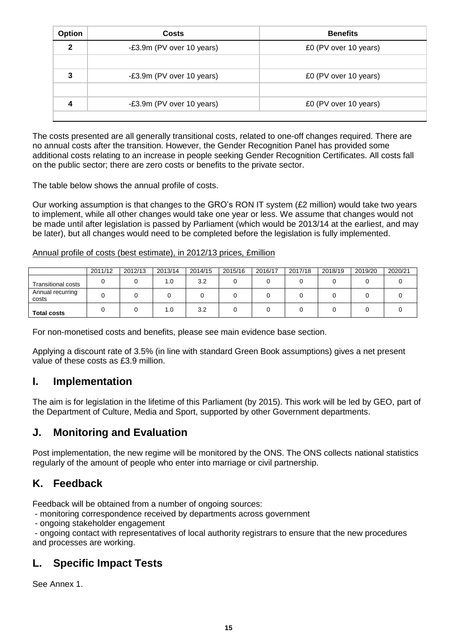| <b>Option</b> | Costs                     | <b>Benefits</b>       |
|---------------|---------------------------|-----------------------|
| $\mathbf 2$   | -£3.9m (PV over 10 years) | £0 (PV over 10 years) |
|               |                           |                       |
| 3             | -£3.9m (PV over 10 years) | £0 (PV over 10 years) |
|               |                           |                       |
|               | -£3.9m (PV over 10 years) | £0 (PV over 10 years) |
|               |                           |                       |

The costs presented are all generally transitional costs, related to one-off changes required. There are no annual costs after the transition. However, the Gender Recognition Panel has provided some additional costs relating to an increase in people seeking Gender Recognition Certificates. All costs fall on the public sector; there are zero costs or benefits to the private sector.

The table below shows the annual profile of costs.

Our working assumption is that changes to the GRO"s RON IT system (£2 million) would take two years to implement, while all other changes would take one year or less. We assume that changes would not be made until after legislation is passed by Parliament (which would be 2013/14 at the earliest, and may be later), but all changes would need to be completed before the legislation is fully implemented.

### Annual profile of costs (best estimate), in 2012/13 prices, £million

|                           | 2011/12 | 2012/13 | 2013/14 | 2014/15 | 2015/16 | 2016/17 | 2017/18 | 2018/19 | 2019/20 | 2020/21 |
|---------------------------|---------|---------|---------|---------|---------|---------|---------|---------|---------|---------|
| <b>Transitional costs</b> |         |         | 1.0     | 3.2     |         |         |         |         |         |         |
| Annual recurring<br>costs |         |         |         |         |         |         |         |         |         |         |
| <b>Total costs</b>        |         |         | 0. ا    | 3.2     |         |         |         |         |         |         |

For non-monetised costs and benefits, please see main evidence base section.

Applying a discount rate of 3.5% (in line with standard Green Book assumptions) gives a net present value of these costs as £3.9 million.

# **I. Implementation**

The aim is for legislation in the lifetime of this Parliament (by 2015). This work will be led by GEO, part of the Department of Culture, Media and Sport, supported by other Government departments.

# **J. Monitoring and Evaluation**

Post implementation, the new regime will be monitored by the ONS. The ONS collects national statistics regularly of the amount of people who enter into marriage or civil partnership.

# **K. Feedback**

Feedback will be obtained from a number of ongoing sources:

- monitoring correspondence received by departments across government

- ongoing stakeholder engagement

- ongoing contact with representatives of local authority registrars to ensure that the new procedures and processes are working.

# **L. Specific Impact Tests**

See Annex 1.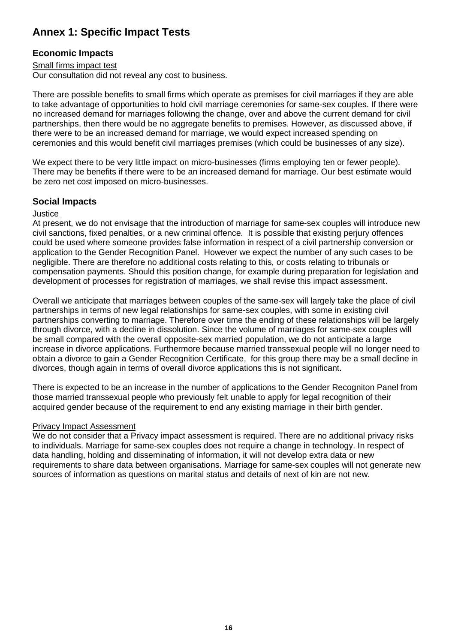# **Annex 1: Specific Impact Tests**

### **Economic Impacts**

### Small firms impact test

Our consultation did not reveal any cost to business.

There are possible benefits to small firms which operate as premises for civil marriages if they are able to take advantage of opportunities to hold civil marriage ceremonies for same-sex couples. If there were no increased demand for marriages following the change, over and above the current demand for civil partnerships, then there would be no aggregate benefits to premises. However, as discussed above, if there were to be an increased demand for marriage, we would expect increased spending on ceremonies and this would benefit civil marriages premises (which could be businesses of any size).

We expect there to be very little impact on micro-businesses (firms employing ten or fewer people). There may be benefits if there were to be an increased demand for marriage. Our best estimate would be zero net cost imposed on micro-businesses.

### **Social Impacts**

### **Justice**

At present, we do not envisage that the introduction of marriage for same-sex couples will introduce new civil sanctions, fixed penalties, or a new criminal offence. It is possible that existing perjury offences could be used where someone provides false information in respect of a civil partnership conversion or application to the Gender Recognition Panel. However we expect the number of any such cases to be negligible. There are therefore no additional costs relating to this, or costs relating to tribunals or compensation payments. Should this position change, for example during preparation for legislation and development of processes for registration of marriages, we shall revise this impact assessment.

Overall we anticipate that marriages between couples of the same-sex will largely take the place of civil partnerships in terms of new legal relationships for same-sex couples, with some in existing civil partnerships converting to marriage. Therefore over time the ending of these relationships will be largely through divorce, with a decline in dissolution. Since the volume of marriages for same-sex couples will be small compared with the overall opposite-sex married population, we do not anticipate a large increase in divorce applications. Furthermore because married transsexual people will no longer need to obtain a divorce to gain a Gender Recognition Certificate, for this group there may be a small decline in divorces, though again in terms of overall divorce applications this is not significant.

There is expected to be an increase in the number of applications to the Gender Recogniton Panel from those married transsexual people who previously felt unable to apply for legal recognition of their acquired gender because of the requirement to end any existing marriage in their birth gender.

### Privacy Impact Assessment

We do not consider that a Privacy impact assessment is required. There are no additional privacy risks to individuals. Marriage for same-sex couples does not require a change in technology. In respect of data handling, holding and disseminating of information, it will not develop extra data or new requirements to share data between organisations. Marriage for same-sex couples will not generate new sources of information as questions on marital status and details of next of kin are not new.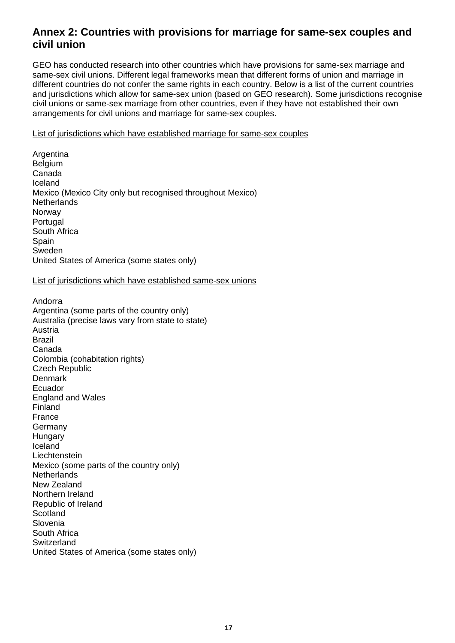# **Annex 2: Countries with provisions for marriage for same-sex couples and civil union**

GEO has conducted research into other countries which have provisions for same-sex marriage and same-sex civil unions. Different legal frameworks mean that different forms of union and marriage in different countries do not confer the same rights in each country. Below is a list of the current countries and jurisdictions which allow for same-sex union (based on GEO research). Some jurisdictions recognise civil unions or same-sex marriage from other countries, even if they have not established their own arrangements for civil unions and marriage for same-sex couples.

List of jurisdictions which have established marriage for same-sex couples

Argentina Belgium Canada Iceland Mexico (Mexico City only but recognised throughout Mexico) **Netherlands** Norway Portugal South Africa Spain Sweden United States of America (some states only)

### List of jurisdictions which have established same-sex unions

Andorra Argentina (some parts of the country only) Australia (precise laws vary from state to state) Austria Brazil Canada Colombia (cohabitation rights) Czech Republic **Denmark** Ecuador England and Wales Finland France Germany Hungary Iceland Liechtenstein Mexico (some parts of the country only) **Netherlands** New Zealand Northern Ireland Republic of Ireland **Scotland** Slovenia South Africa **Switzerland** United States of America (some states only)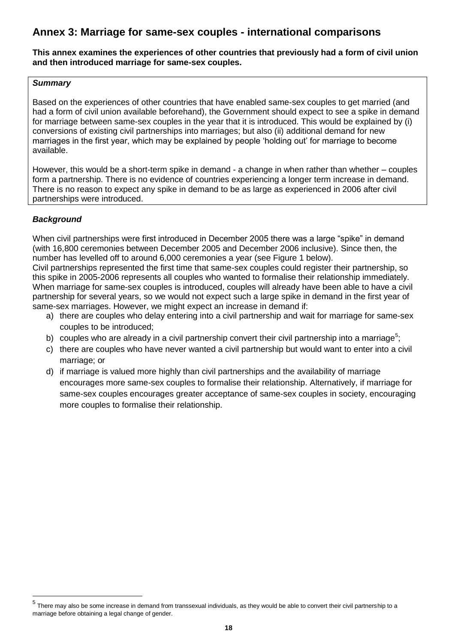# **Annex 3: Marriage for same-sex couples - international comparisons**

#### **This annex examines the experiences of other countries that previously had a form of civil union and then introduced marriage for same-sex couples.**

### *Summary*

Based on the experiences of other countries that have enabled same-sex couples to get married (and had a form of civil union available beforehand), the Government should expect to see a spike in demand for marriage between same-sex couples in the year that it is introduced. This would be explained by (i) conversions of existing civil partnerships into marriages; but also (ii) additional demand for new marriages in the first year, which may be explained by people "holding out" for marriage to become available.

However, this would be a short-term spike in demand - a change in when rather than whether – couples form a partnership. There is no evidence of countries experiencing a longer term increase in demand. There is no reason to expect any spike in demand to be as large as experienced in 2006 after civil partnerships were introduced.

### *Background*

When civil partnerships were first introduced in December 2005 there was a large "spike" in demand (with 16,800 ceremonies between December 2005 and December 2006 inclusive). Since then, the number has levelled off to around 6,000 ceremonies a year (see Figure 1 below).

Civil partnerships represented the first time that same-sex couples could register their partnership, so this spike in 2005-2006 represents all couples who wanted to formalise their relationship immediately. When marriage for same-sex couples is introduced, couples will already have been able to have a civil partnership for several years, so we would not expect such a large spike in demand in the first year of same-sex marriages. However, we might expect an increase in demand if:

- a) there are couples who delay entering into a civil partnership and wait for marriage for same-sex couples to be introduced;
- b) couples who are already in a civil partnership convert their civil partnership into a marriage<sup>5</sup>;
- c) there are couples who have never wanted a civil partnership but would want to enter into a civil marriage; or
- d) if marriage is valued more highly than civil partnerships and the availability of marriage encourages more same-sex couples to formalise their relationship. Alternatively, if marriage for same-sex couples encourages greater acceptance of same-sex couples in society, encouraging more couples to formalise their relationship.

 5 There may also be some increase in demand from transsexual individuals, as they would be able to convert their civil partnership to a marriage before obtaining a legal change of gender.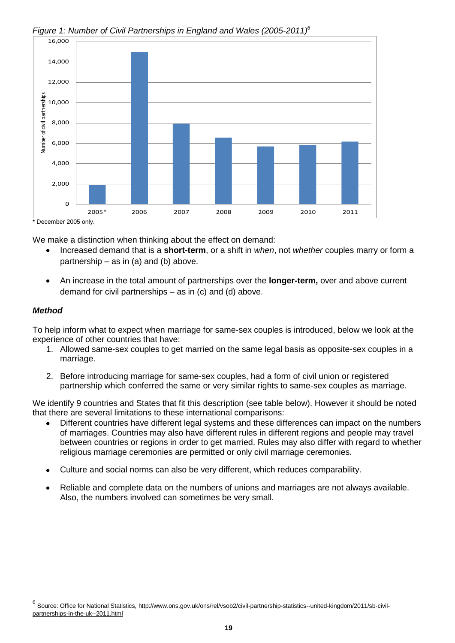

### *Figure 1: Number of Civil Partnerships in England and Wales (2005-2011)<sup>6</sup>*

We make a distinction when thinking about the effect on demand:

- Increased demand that is a **short-term**, or a shift in *when*, not *whether* couples marry or form a partnership  $-$  as in (a) and (b) above.
- An increase in the total amount of partnerships over the **longer-term,** over and above current demand for civil partnerships – as in (c) and (d) above.

### *Method*

 $\overline{a}$ 

To help inform what to expect when marriage for same-sex couples is introduced, below we look at the experience of other countries that have:

- 1. Allowed same-sex couples to get married on the same legal basis as opposite-sex couples in a marriage.
- 2. Before introducing marriage for same-sex couples, had a form of civil union or registered partnership which conferred the same or very similar rights to same-sex couples as marriage.

We identify 9 countries and States that fit this description (see table below). However it should be noted that there are several limitations to these international comparisons:

- Different countries have different legal systems and these differences can impact on the numbers  $\bullet$ of marriages. Countries may also have different rules in different regions and people may travel between countries or regions in order to get married. Rules may also differ with regard to whether religious marriage ceremonies are permitted or only civil marriage ceremonies.
- Culture and social norms can also be very different, which reduces comparability.
- Reliable and complete data on the numbers of unions and marriages are not always available. Also, the numbers involved can sometimes be very small.

<sup>&</sup>lt;sup>6</sup> Source: Office for National Statistics, [http://www.ons.gov.uk/ons/rel/vsob2/civil-partnership-statistics--united-kingdom/2011/sb-civil](http://www.ons.gov.uk/ons/rel/vsob2/civil-partnership-statistics--united-kingdom/2011/sb-civil-partnerships-in-the-uk--2011.html)[partnerships-in-the-uk--2011.html](http://www.ons.gov.uk/ons/rel/vsob2/civil-partnership-statistics--united-kingdom/2011/sb-civil-partnerships-in-the-uk--2011.html)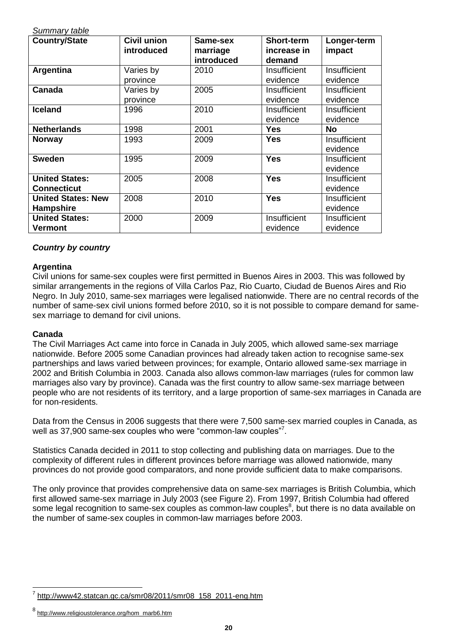| Summary table             |                    |            |                   |              |
|---------------------------|--------------------|------------|-------------------|--------------|
| <b>Country/State</b>      | <b>Civil union</b> | Same-sex   | <b>Short-term</b> | Longer-term  |
|                           | introduced         | marriage   | increase in       | impact       |
|                           |                    | introduced | demand            |              |
| Argentina                 | Varies by          | 2010       | Insufficient      | Insufficient |
|                           | province           |            | evidence          | evidence     |
| Canada                    | Varies by          | 2005       | Insufficient      | Insufficient |
|                           | province           |            | evidence          | evidence     |
| <b>Iceland</b>            | 1996               | 2010       | Insufficient      | Insufficient |
|                           |                    |            | evidence          | evidence     |
| <b>Netherlands</b>        | 1998               | 2001       | <b>Yes</b>        | <b>No</b>    |
| <b>Norway</b>             | 1993               | 2009       | Yes               | Insufficient |
|                           |                    |            |                   | evidence     |
| <b>Sweden</b>             | 1995               | 2009       | <b>Yes</b>        | Insufficient |
|                           |                    |            |                   | evidence     |
| <b>United States:</b>     | 2005               | 2008       | <b>Yes</b>        | Insufficient |
| <b>Connecticut</b>        |                    |            |                   | evidence     |
| <b>United States: New</b> | 2008               | 2010       | <b>Yes</b>        | Insufficient |
| <b>Hampshire</b>          |                    |            |                   | evidence     |
| <b>United States:</b>     | 2000               | 2009       | Insufficient      | Insufficient |
| Vermont                   |                    |            | evidence          | evidence     |

### *Country by country*

*Summary table*

### **Argentina**

Civil unions for same-sex couples were first permitted in Buenos Aires in 2003. This was followed by similar arrangements in the regions of Villa Carlos Paz, Rio Cuarto, Ciudad de Buenos Aires and Rio Negro. In July 2010, same-sex marriages were legalised nationwide. There are no central records of the number of same-sex civil unions formed before 2010, so it is not possible to compare demand for samesex marriage to demand for civil unions.

### **Canada**

l

The Civil Marriages Act came into force in Canada in July 2005, which allowed same-sex marriage nationwide. Before 2005 some Canadian provinces had already taken action to recognise same-sex partnerships and laws varied between provinces; for example, Ontario allowed same-sex marriage in 2002 and British Columbia in 2003. Canada also allows common-law marriages (rules for common law marriages also vary by province). Canada was the first country to allow same-sex marriage between people who are not residents of its territory, and a large proportion of same-sex marriages in Canada are for non-residents.

Data from the Census in 2006 suggests that there were 7,500 same-sex married couples in Canada, as well as 37,900 same-sex couples who were "common-law couples"<sup>7</sup>.

Statistics Canada decided in 2011 to stop collecting and publishing data on marriages. Due to the complexity of different rules in different provinces before marriage was allowed nationwide, many provinces do not provide good comparators, and none provide sufficient data to make comparisons.

The only province that provides comprehensive data on same-sex marriages is British Columbia, which first allowed same-sex marriage in July 2003 (see Figure 2). From 1997, British Columbia had offered some legal recognition to same-sex couples as common-law couples<sup>8</sup>, but there is no data available on the number of same-sex couples in common-law marriages before 2003.

<sup>&</sup>lt;sup>7</sup> [http://www42.statcan.gc.ca/smr08/2011/smr08\\_158\\_2011-eng.htm](http://www42.statcan.gc.ca/smr08/2011/smr08_158_2011-eng.htm)

<sup>8</sup> [http://www.religioustolerance.org/hom\\_marb6.htm](http://www.religioustolerance.org/hom_marb6.htm)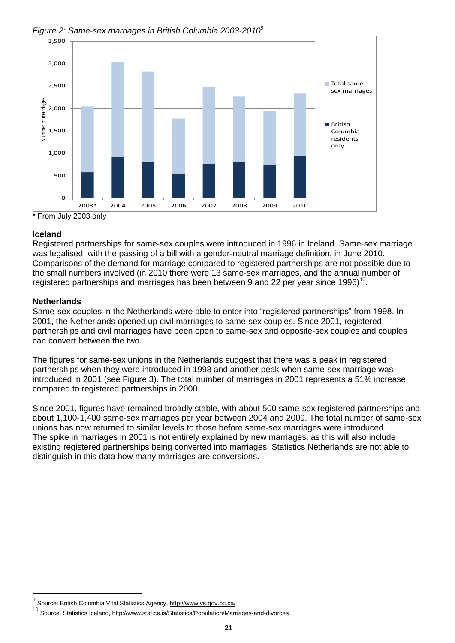

*Figure 2: Same-sex marriages in British Columbia 2003-2010<sup>9</sup>*

### **Iceland**

Registered partnerships for same-sex couples were introduced in 1996 in Iceland. Same-sex marriage was legalised, with the passing of a bill with a gender-neutral marriage definition, in June 2010. Comparisons of the demand for marriage compared to registered partnerships are not possible due to the small numbers involved (in 2010 there were 13 same-sex marriages, and the annual number of registered partnerships and marriages has been between 9 and 22 per year since 1996)<sup>10</sup>.

### **Netherlands**

 $\overline{a}$ 

Same-sex couples in the Netherlands were able to enter into "registered partnerships" from 1998. In 2001, the Netherlands opened up civil marriages to same-sex couples. Since 2001, registered partnerships and civil marriages have been open to same-sex and opposite-sex couples and couples can convert between the two.

The figures for same-sex unions in the Netherlands suggest that there was a peak in registered partnerships when they were introduced in 1998 and another peak when same-sex marriage was introduced in 2001 (see Figure 3). The total number of marriages in 2001 represents a 51% increase compared to registered partnerships in 2000.

Since 2001, figures have remained broadly stable, with about 500 same-sex registered partnerships and about 1,100-1,400 same-sex marriages per year between 2004 and 2009. The total number of same-sex unions has now returned to similar levels to those before same-sex marriages were introduced. The spike in marriages in 2001 is not entirely explained by new marriages, as this will also include existing registered partnerships being converted into marriages. Statistics Netherlands are not able to distinguish in this data how many marriages are conversions.

<sup>&</sup>lt;sup>9</sup> Source: British Columbia Vital Statistics Agency,<http://www.vs.gov.bc.ca/>

<sup>&</sup>lt;sup>10</sup> Source: Statistics Iceland,<http://www.statice.is/Statistics/Population/Marriages-and-divorces>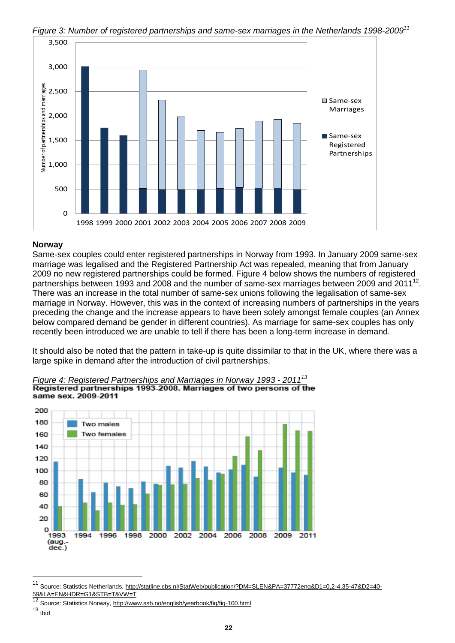

*Figure 3: Number of registered partnerships and same-sex marriages in the Netherlands 1998-2009<sup>11</sup>*

#### **Norway**

Same-sex couples could enter registered partnerships in Norway from 1993. In January 2009 same-sex marriage was legalised and the Registered Partnership Act was repealed, meaning that from January 2009 no new registered partnerships could be formed. Figure 4 below shows the numbers of registered partnerships between 1993 and 2008 and the number of same-sex marriages between 2009 and 2011<sup>12</sup>. There was an increase in the total number of same-sex unions following the legalisation of same-sex marriage in Norway. However, this was in the context of increasing numbers of partnerships in the years preceding the change and the increase appears to have been solely amongst female couples (an Annex below compared demand be gender in different countries). As marriage for same-sex couples has only recently been introduced we are unable to tell if there has been a long-term increase in demand.

It should also be noted that the pattern in take-up is quite dissimilar to that in the UK, where there was a large spike in demand after the introduction of civil partnerships.



*Figure 4: Registered Partnerships and Marriages in Norway 1993 - 2011<sup>13</sup>* same sex. 2009-2011

l

<sup>11</sup> Source: Statistics Netherlands, [http://statline.cbs.nl/StatWeb/publication/?DM=SLEN&PA=37772eng&D1=0,2-4,35-47&D2=40-](http://statline.cbs.nl/StatWeb/publication/?DM=SLEN&PA=37772eng&D1=0,2-4,35-47&D2=40-59&LA=EN&HDR=G1&STB=T&VW=T) [59&LA=EN&HDR=G1&STB=T&VW=T](http://statline.cbs.nl/StatWeb/publication/?DM=SLEN&PA=37772eng&D1=0,2-4,35-47&D2=40-59&LA=EN&HDR=G1&STB=T&VW=T)<br>12 =

Source: Statistics Norway,<http://www.ssb.no/english/yearbook/fig/fig-100.html>

<sup>13</sup> Ibid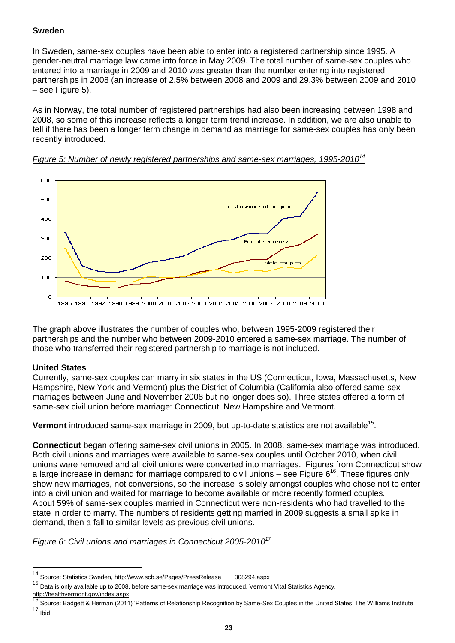#### **Sweden**

In Sweden, same-sex couples have been able to enter into a registered partnership since 1995. A gender-neutral marriage law came into force in May 2009. The total number of same-sex couples who entered into a marriage in 2009 and 2010 was greater than the number entering into registered partnerships in 2008 (an increase of 2.5% between 2008 and 2009 and 29.3% between 2009 and 2010 – see Figure 5).

As in Norway, the total number of registered partnerships had also been increasing between 1998 and 2008, so some of this increase reflects a longer term trend increase. In addition, we are also unable to tell if there has been a longer term change in demand as marriage for same-sex couples has only been recently introduced.





The graph above illustrates the number of couples who, between 1995-2009 registered their partnerships and the number who between 2009-2010 entered a same-sex marriage. The number of those who transferred their registered partnership to marriage is not included.

### **United States**

l

Currently, same-sex couples can marry in six states in the US (Connecticut, Iowa, Massachusetts, New Hampshire, New York and Vermont) plus the District of Columbia (California also offered same-sex marriages between June and November 2008 but no longer does so). Three states offered a form of same-sex civil union before marriage: Connecticut, New Hampshire and Vermont.

Vermont introduced same-sex marriage in 2009, but up-to-date statistics are not available<sup>15</sup>.

**Connecticut** began offering same-sex civil unions in 2005. In 2008, same-sex marriage was introduced. Both civil unions and marriages were available to same-sex couples until October 2010, when civil unions were removed and all civil unions were converted into marriages. Figures from Connecticut show a large increase in demand for marriage compared to civil unions – see Figure  $6^{16}$ . These figures only show new marriages, not conversions, so the increase is solely amongst couples who chose not to enter into a civil union and waited for marriage to become available or more recently formed couples. About 59% of same-sex couples married in Connecticut were non-residents who had travelled to the state in order to marry. The numbers of residents getting married in 2009 suggests a small spike in demand, then a fall to similar levels as previous civil unions.

*Figure 6: Civil unions and marriages in Connecticut 2005-2010<sup>17</sup>*

<sup>&</sup>lt;sup>14</sup> Source: Statistics Sweden, [http://www.scb.se/Pages/PressRelease\\_\\_\\_\\_308294.aspx](http://www.scb.se/Pages/PressRelease____308294.aspx)

<sup>15</sup> Data is only available up to 2008, before same-sex marriage was introduced. Vermont Vital Statistics Agency, <http://healthvermont.gov/index.aspx><br>16 o

Source: Badgett & Herman (2011) 'Patterns of Relationship Recognition by Same-Sex Couples in the United States' The Williams Institute  $17$  Ibid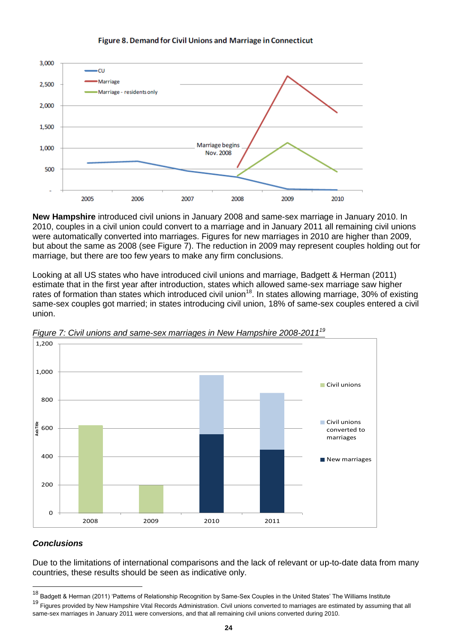

#### Figure 8. Demand for Civil Unions and Marriage in Connecticut

**New Hampshire** introduced civil unions in January 2008 and same-sex marriage in January 2010. In 2010, couples in a civil union could convert to a marriage and in January 2011 all remaining civil unions were automatically converted into marriages. Figures for new marriages in 2010 are higher than 2009, but about the same as 2008 (see Figure 7). The reduction in 2009 may represent couples holding out for marriage, but there are too few years to make any firm conclusions.

Looking at all US states who have introduced civil unions and marriage, Badgett & Herman (2011) estimate that in the first year after introduction, states which allowed same-sex marriage saw higher rates of formation than states which introduced civil union<sup>18</sup>. In states allowing marriage, 30% of existing same-sex couples got married; in states introducing civil union, 18% of same-sex couples entered a civil union.



*Figure 7: Civil unions and same-sex marriages in New Hampshire 2008-2011<sup>19</sup>*

### *Conclusions*

l

Due to the limitations of international comparisons and the lack of relevant or up-to-date data from many countries, these results should be seen as indicative only.

<sup>&</sup>lt;sup>18</sup> Badgett & Herman (2011) 'Patterns of Relationship Recognition by Same-Sex Couples in the United States' The Williams Institute

<sup>&</sup>lt;sup>19</sup> Figures provided by New Hampshire Vital Records Administration. Civil unions converted to marriages are estimated by assuming that all same-sex marriages in January 2011 were conversions, and that all remaining civil unions converted during 2010.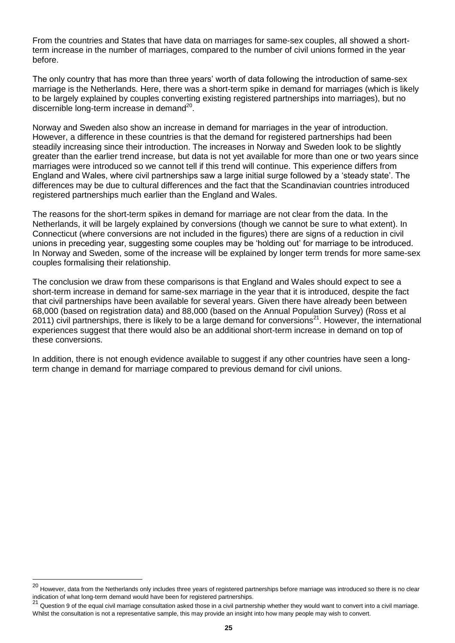From the countries and States that have data on marriages for same-sex couples, all showed a shortterm increase in the number of marriages, compared to the number of civil unions formed in the year before.

The only country that has more than three years' worth of data following the introduction of same-sex marriage is the Netherlands. Here, there was a short-term spike in demand for marriages (which is likely to be largely explained by couples converting existing registered partnerships into marriages), but no discernible long-term increase in demand<sup>20</sup>.

Norway and Sweden also show an increase in demand for marriages in the year of introduction. However, a difference in these countries is that the demand for registered partnerships had been steadily increasing since their introduction. The increases in Norway and Sweden look to be slightly greater than the earlier trend increase, but data is not yet available for more than one or two years since marriages were introduced so we cannot tell if this trend will continue. This experience differs from England and Wales, where civil partnerships saw a large initial surge followed by a "steady state". The differences may be due to cultural differences and the fact that the Scandinavian countries introduced registered partnerships much earlier than the England and Wales.

The reasons for the short-term spikes in demand for marriage are not clear from the data. In the Netherlands, it will be largely explained by conversions (though we cannot be sure to what extent). In Connecticut (where conversions are not included in the figures) there are signs of a reduction in civil unions in preceding year, suggesting some couples may be "holding out" for marriage to be introduced. In Norway and Sweden, some of the increase will be explained by longer term trends for more same-sex couples formalising their relationship.

The conclusion we draw from these comparisons is that England and Wales should expect to see a short-term increase in demand for same-sex marriage in the year that it is introduced, despite the fact that civil partnerships have been available for several years. Given there have already been between 68,000 (based on registration data) and 88,000 (based on the Annual Population Survey) (Ross et al 2011) civil partnerships, there is likely to be a large demand for conversions<sup>21</sup>. However, the international experiences suggest that there would also be an additional short-term increase in demand on top of these conversions.

In addition, there is not enough evidence available to suggest if any other countries have seen a longterm change in demand for marriage compared to previous demand for civil unions.

l

<sup>20</sup> However, data from the Netherlands only includes three years of registered partnerships before marriage was introduced so there is no clear indication of what long-term demand would have been for registered partnerships.

Question 9 of the equal civil marriage consultation asked those in a civil partnership whether they would want to convert into a civil marriage. Whilst the consultation is not a representative sample, this may provide an insight into how many people may wish to convert.